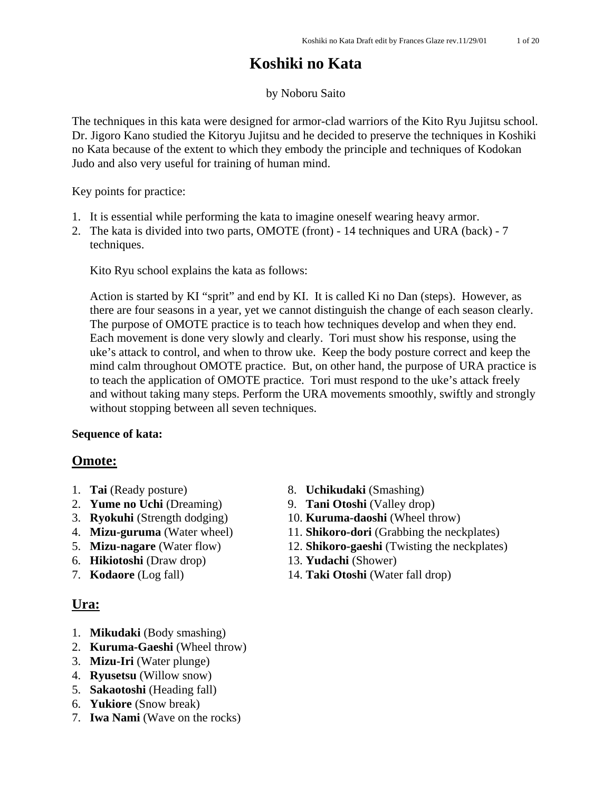# **Koshiki no Kata**

### by Noboru Saito

The techniques in this kata were designed for armor-clad warriors of the Kito Ryu Jujitsu school. Dr. Jigoro Kano studied the Kitoryu Jujitsu and he decided to preserve the techniques in Koshiki no Kata because of the extent to which they embody the principle and techniques of Kodokan Judo and also very useful for training of human mind.

Key points for practice:

- 1. It is essential while performing the kata to imagine oneself wearing heavy armor.
- 2. The kata is divided into two parts, OMOTE (front) 14 techniques and URA (back) 7 techniques.

Kito Ryu school explains the kata as follows:

Action is started by KI "sprit" and end by KI. It is called Ki no Dan (steps). However, as there are four seasons in a year, yet we cannot distinguish the change of each season clearly. The purpose of OMOTE practice is to teach how techniques develop and when they end. Each movement is done very slowly and clearly. Tori must show his response, using the uke's attack to control, and when to throw uke. Keep the body posture correct and keep the mind calm throughout OMOTE practice. But, on other hand, the purpose of URA practice is to teach the application of OMOTE practice. Tori must respond to the uke's attack freely and without taking many steps. Perform the URA movements smoothly, swiftly and strongly without stopping between all seven techniques.

#### **Sequence of kata:**

# **Omote:**

- 
- 
- 
- 
- 
- 6. **Hikiotoshi** (Draw drop) 13. **Yudachi** (Shower)
- 

# **Ura:**

- 1. **Mikudaki** (Body smashing)
- 2. **Kuruma-Gaeshi** (Wheel throw)
- 3. **Mizu-Iri** (Water plunge)
- 4. **Ryusetsu** (Willow snow)
- 5. **Sakaotoshi** (Heading fall)
- 6. **Yukiore** (Snow break)
- 7. **Iwa Nami** (Wave on the rocks)
- 1. **Tai** (Ready posture) 8. **Uchikudaki** (Smashing)
- 2. **Yume no Uchi** (Dreaming) 9. **Tani Otoshi** (Valley drop)
- 3. **Ryokuhi** (Strength dodging) 10. **Kuruma-daoshi** (Wheel throw)
- 4. **Mizu-guruma** (Water wheel) 11. **Shikoro-dori** (Grabbing the neckplates)
- 5. **Mizu-nagare** (Water flow) 12. **Shikoro-gaeshi** (Twisting the neckplates)
	-
- 7. **Kodaore** (Log fall) 14. **Taki Otoshi** (Water fall drop)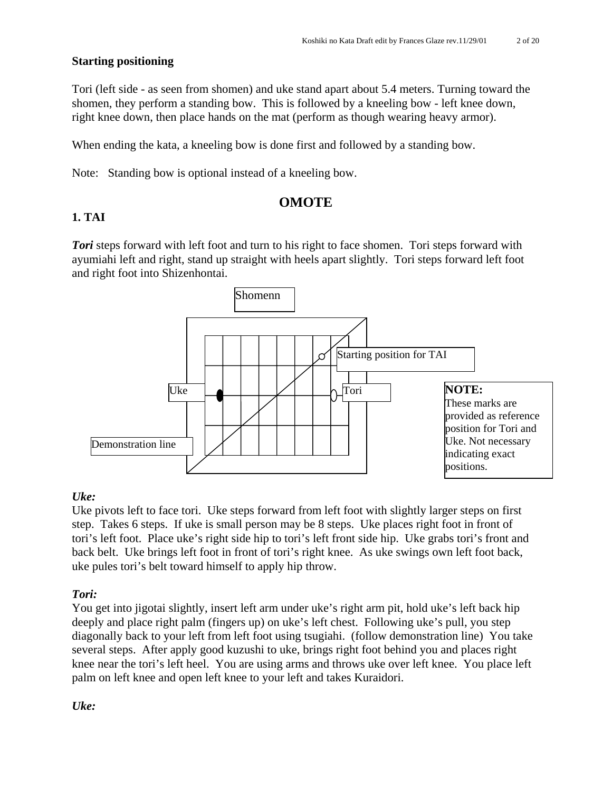# **Starting positioning**

Tori (left side - as seen from shomen) and uke stand apart about 5.4 meters. Turning toward the shomen, they perform a standing bow. This is followed by a kneeling bow - left knee down, right knee down, then place hands on the mat (perform as though wearing heavy armor).

When ending the kata, a kneeling bow is done first and followed by a standing bow.

Note: Standing bow is optional instead of a kneeling bow.

# **OMOTE**

# **1. TAI**

*Tori* steps forward with left foot and turn to his right to face shomen. Tori steps forward with ayumiahi left and right, stand up straight with heels apart slightly. Tori steps forward left foot and right foot into Shizenhontai.



# *Uke:*

Uke pivots left to face tori. Uke steps forward from left foot with slightly larger steps on first step. Takes 6 steps. If uke is small person may be 8 steps. Uke places right foot in front of tori's left foot. Place uke's right side hip to tori's left front side hip. Uke grabs tori's front and back belt. Uke brings left foot in front of tori's right knee. As uke swings own left foot back, uke pules tori's belt toward himself to apply hip throw.

# *Tori:*

You get into jigotai slightly, insert left arm under uke's right arm pit, hold uke's left back hip deeply and place right palm (fingers up) on uke's left chest. Following uke's pull, you step diagonally back to your left from left foot using tsugiahi. (follow demonstration line) You take several steps. After apply good kuzushi to uke, brings right foot behind you and places right knee near the tori's left heel. You are using arms and throws uke over left knee. You place left palm on left knee and open left knee to your left and takes Kuraidori.

*Uke:*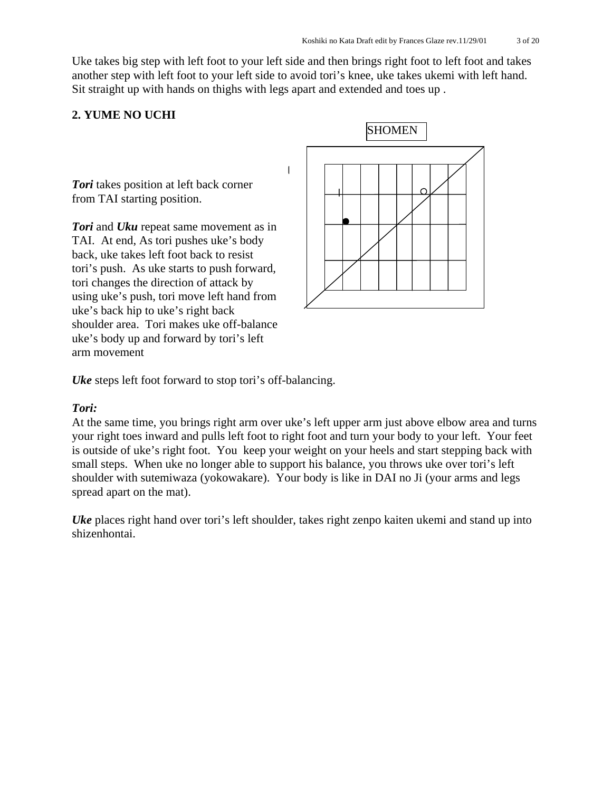Uke takes big step with left foot to your left side and then brings right foot to left foot and takes another step with left foot to your left side to avoid tori's knee, uke takes ukemi with left hand. Sit straight up with hands on thighs with legs apart and extended and toes up .

 $\overline{\phantom{a}}$ 

# **2. YUME NO UCHI**

*Tori* takes position at left back corner from TAI starting position.

*Tori* and *Uku* repeat same movement as in TAI. At end, As tori pushes uke's body back, uke takes left foot back to resist tori's push. As uke starts to push forward, tori changes the direction of attack by using uke's push, tori move left hand from uke's back hip to uke's right back shoulder area. Tori makes uke off-balance uke's body up and forward by tori's left arm movement



*Uke* steps left foot forward to stop tori's off-balancing.

#### *Tori:*

At the same time, you brings right arm over uke's left upper arm just above elbow area and turns your right toes inward and pulls left foot to right foot and turn your body to your left. Your feet is outside of uke's right foot. You keep your weight on your heels and start stepping back with small steps. When uke no longer able to support his balance, you throws uke over tori's left shoulder with sutemiwaza (yokowakare). Your body is like in DAI no Ji (your arms and legs spread apart on the mat).

*Uke* places right hand over tori's left shoulder, takes right zenpo kaiten ukemi and stand up into shizenhontai.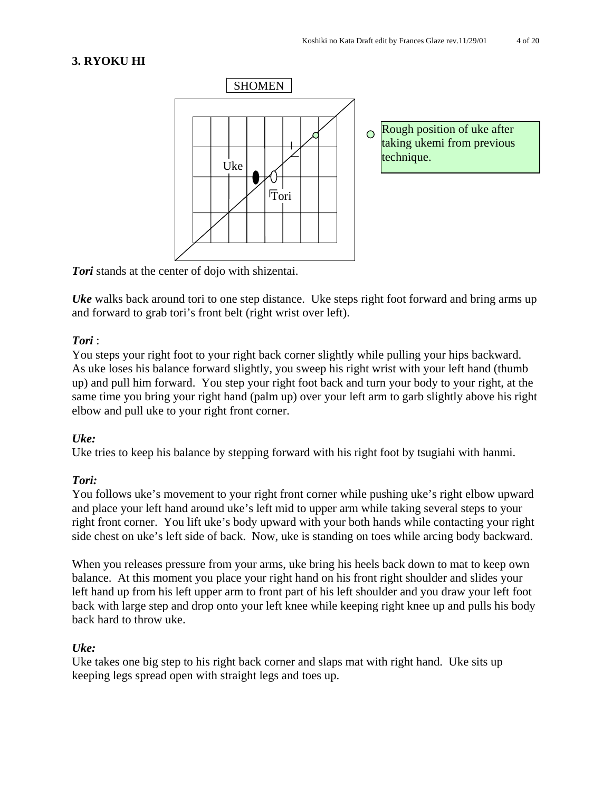# **3. RYOKU HI**



*Tori* stands at the center of dojo with shizentai.

*Uke* walks back around tori to one step distance. Uke steps right foot forward and bring arms up and forward to grab tori's front belt (right wrist over left).

# *Tori* :

You steps your right foot to your right back corner slightly while pulling your hips backward. As uke loses his balance forward slightly, you sweep his right wrist with your left hand (thumb up) and pull him forward. You step your right foot back and turn your body to your right, at the same time you bring your right hand (palm up) over your left arm to garb slightly above his right elbow and pull uke to your right front corner.

#### *Uke:*

Uke tries to keep his balance by stepping forward with his right foot by tsugiahi with hanmi.

#### *Tori:*

You follows uke's movement to your right front corner while pushing uke's right elbow upward and place your left hand around uke's left mid to upper arm while taking several steps to your right front corner. You lift uke's body upward with your both hands while contacting your right side chest on uke's left side of back. Now, uke is standing on toes while arcing body backward.

When you releases pressure from your arms, uke bring his heels back down to mat to keep own balance. At this moment you place your right hand on his front right shoulder and slides your left hand up from his left upper arm to front part of his left shoulder and you draw your left foot back with large step and drop onto your left knee while keeping right knee up and pulls his body back hard to throw uke.

# *Uke:*

Uke takes one big step to his right back corner and slaps mat with right hand. Uke sits up keeping legs spread open with straight legs and toes up.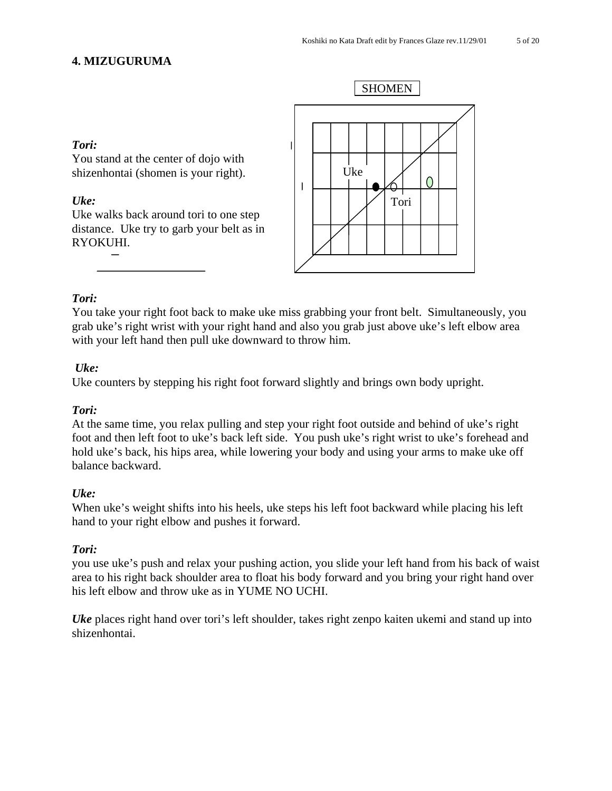# **4. MIZUGURUMA**

#### *Tori:*

You stand at the center of dojo with shizenhontai (shomen is your right).

#### *Uke:*

Uke walks back around tori to one step distance. Uke try to garb your belt as in RYOKUHI.



# *Tori:*

You take your right foot back to make uke miss grabbing your front belt. Simultaneously, you grab uke's right wrist with your right hand and also you grab just above uke's left elbow area with your left hand then pull uke downward to throw him.

# *Uke:*

Uke counters by stepping his right foot forward slightly and brings own body upright.

#### *Tori:*

At the same time, you relax pulling and step your right foot outside and behind of uke's right foot and then left foot to uke's back left side. You push uke's right wrist to uke's forehead and hold uke's back, his hips area, while lowering your body and using your arms to make uke off balance backward.

#### *Uke:*

When uke's weight shifts into his heels, uke steps his left foot backward while placing his left hand to your right elbow and pushes it forward.

#### *Tori:*

you use uke's push and relax your pushing action, you slide your left hand from his back of waist area to his right back shoulder area to float his body forward and you bring your right hand over his left elbow and throw uke as in YUME NO UCHI.

*Uke* places right hand over tori's left shoulder, takes right zenpo kaiten ukemi and stand up into shizenhontai.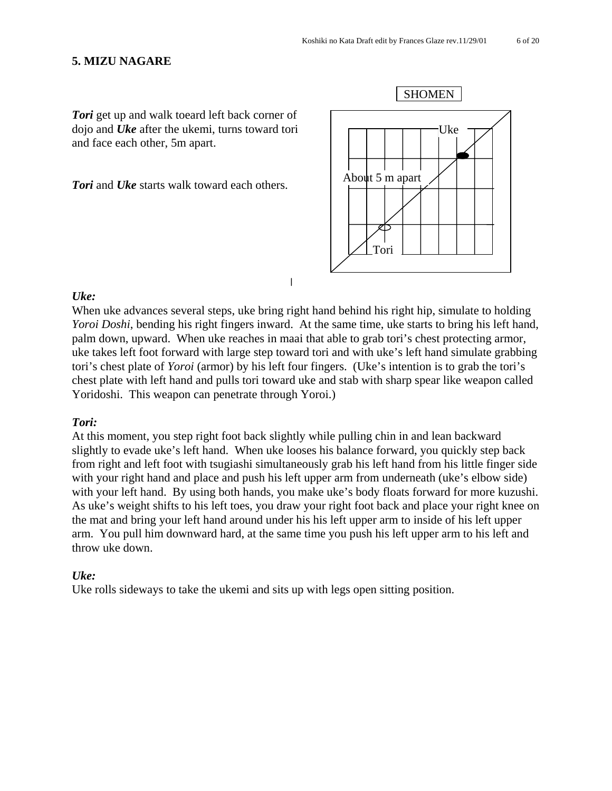#### **5. MIZU NAGARE**

**Tori** get up and walk toeard left back corner of dojo and *Uke* after the ukemi, turns toward tori and face each other, 5m apart.

*Tori* and *Uke* starts walk toward each others.



#### $\mathbf{I}$

#### *Uke:*

When uke advances several steps, uke bring right hand behind his right hip, simulate to holding *Yoroi Doshi*, bending his right fingers inward. At the same time, uke starts to bring his left hand, palm down, upward. When uke reaches in maai that able to grab tori's chest protecting armor, uke takes left foot forward with large step toward tori and with uke's left hand simulate grabbing tori's chest plate of *Yoroi* (armor) by his left four fingers. (Uke's intention is to grab the tori's chest plate with left hand and pulls tori toward uke and stab with sharp spear like weapon called Yoridoshi. This weapon can penetrate through Yoroi.)

#### *Tori:*

At this moment, you step right foot back slightly while pulling chin in and lean backward slightly to evade uke's left hand. When uke looses his balance forward, you quickly step back from right and left foot with tsugiashi simultaneously grab his left hand from his little finger side with your right hand and place and push his left upper arm from underneath (uke's elbow side) with your left hand. By using both hands, you make uke's body floats forward for more kuzushi. As uke's weight shifts to his left toes, you draw your right foot back and place your right knee on the mat and bring your left hand around under his his left upper arm to inside of his left upper arm. You pull him downward hard, at the same time you push his left upper arm to his left and throw uke down.

#### *Uke:*

Uke rolls sideways to take the ukemi and sits up with legs open sitting position.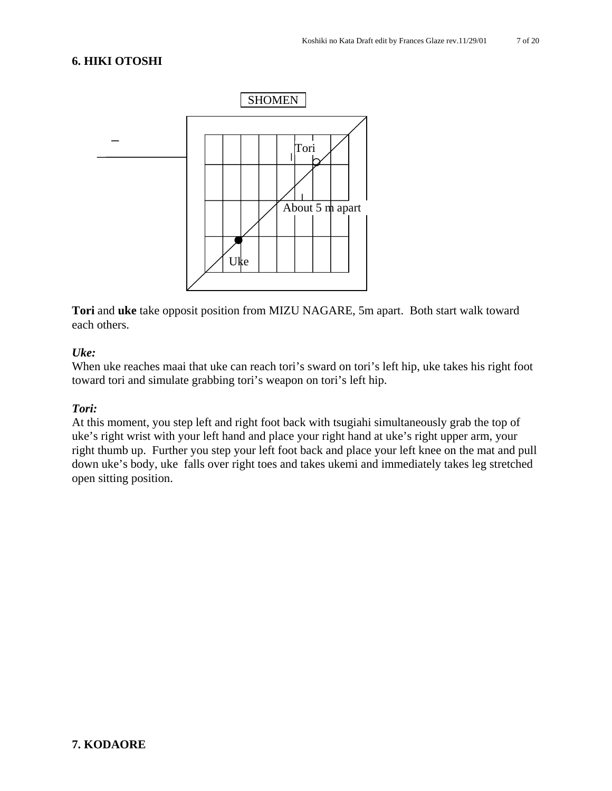# **6. HIKI OTOSHI**



**Tori** and **uke** take opposit position from MIZU NAGARE, 5m apart. Both start walk toward each others.

#### *Uke:*

When uke reaches maai that uke can reach tori's sward on tori's left hip, uke takes his right foot toward tori and simulate grabbing tori's weapon on tori's left hip.

#### *Tori:*

At this moment, you step left and right foot back with tsugiahi simultaneously grab the top of uke's right wrist with your left hand and place your right hand at uke's right upper arm, your right thumb up. Further you step your left foot back and place your left knee on the mat and pull down uke's body, uke falls over right toes and takes ukemi and immediately takes leg stretched open sitting position.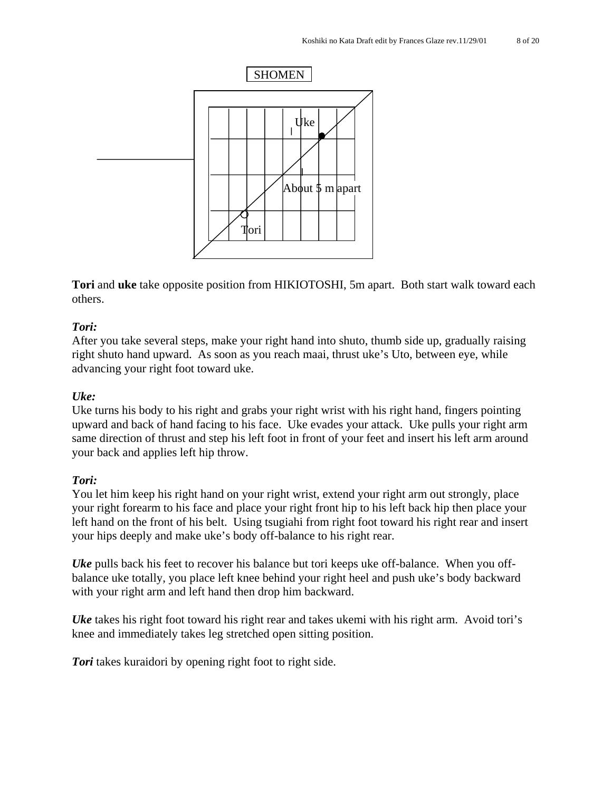

**Tori** and **uke** take opposite position from HIKIOTOSHI, 5m apart. Both start walk toward each others.

# *Tori:*

After you take several steps, make your right hand into shuto, thumb side up, gradually raising right shuto hand upward. As soon as you reach maai, thrust uke's Uto, between eye, while advancing your right foot toward uke.

# *Uke:*

Uke turns his body to his right and grabs your right wrist with his right hand, fingers pointing upward and back of hand facing to his face. Uke evades your attack. Uke pulls your right arm same direction of thrust and step his left foot in front of your feet and insert his left arm around your back and applies left hip throw.

#### *Tori:*

You let him keep his right hand on your right wrist, extend your right arm out strongly, place your right forearm to his face and place your right front hip to his left back hip then place your left hand on the front of his belt. Using tsugiahi from right foot toward his right rear and insert your hips deeply and make uke's body off-balance to his right rear.

*Uke* pulls back his feet to recover his balance but tori keeps uke off-balance. When you offbalance uke totally, you place left knee behind your right heel and push uke's body backward with your right arm and left hand then drop him backward.

*Uke* takes his right foot toward his right rear and takes ukemi with his right arm. Avoid tori's knee and immediately takes leg stretched open sitting position.

*Tori* takes kuraidori by opening right foot to right side.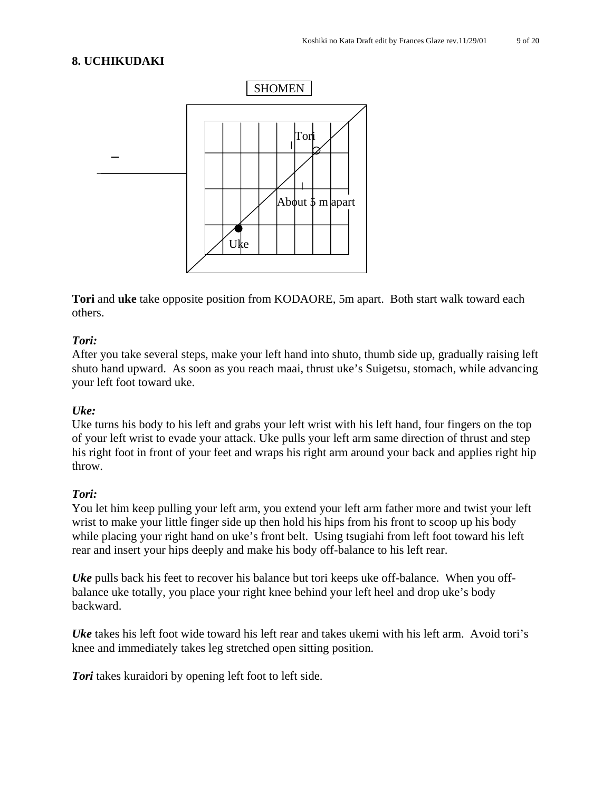# **8. UCHIKUDAKI**



**Tori** and **uke** take opposite position from KODAORE, 5m apart. Both start walk toward each others.

#### *Tori:*

After you take several steps, make your left hand into shuto, thumb side up, gradually raising left shuto hand upward. As soon as you reach maai, thrust uke's Suigetsu, stomach, while advancing your left foot toward uke.

#### *Uke:*

Uke turns his body to his left and grabs your left wrist with his left hand, four fingers on the top of your left wrist to evade your attack. Uke pulls your left arm same direction of thrust and step his right foot in front of your feet and wraps his right arm around your back and applies right hip throw.

#### *Tori:*

You let him keep pulling your left arm, you extend your left arm father more and twist your left wrist to make your little finger side up then hold his hips from his front to scoop up his body while placing your right hand on uke's front belt. Using tsugiahi from left foot toward his left rear and insert your hips deeply and make his body off-balance to his left rear.

*Uke* pulls back his feet to recover his balance but tori keeps uke off-balance. When you offbalance uke totally, you place your right knee behind your left heel and drop uke's body backward.

*Uke* takes his left foot wide toward his left rear and takes ukemi with his left arm. Avoid tori's knee and immediately takes leg stretched open sitting position.

*Tori* takes kuraidori by opening left foot to left side.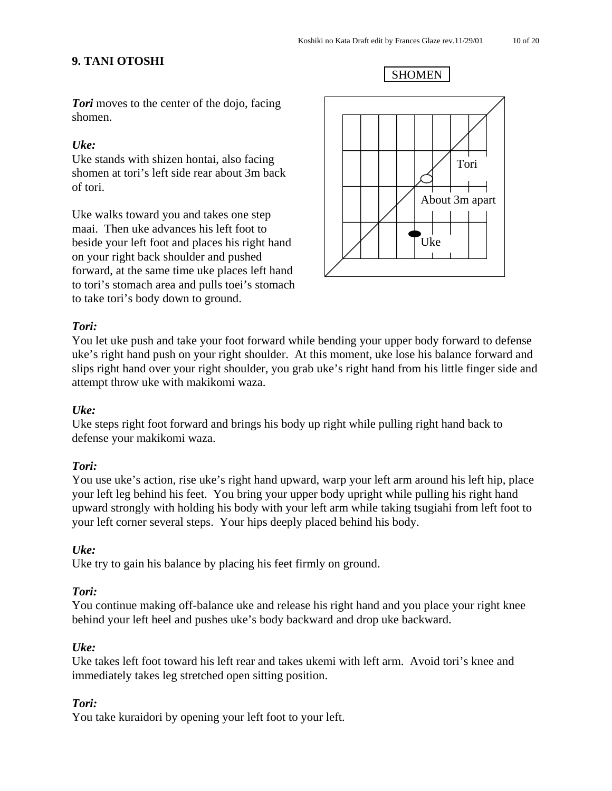# **9. TANI OTOSHI**

SHOMEN Tori About 3m apart Uke

*Tori* moves to the center of the dojo, facing shomen.

#### *Uke:*

Uke stands with shizen hontai, also facing shomen at tori's left side rear about 3m back of tori.

Uke walks toward you and takes one step maai. Then uke advances his left foot to beside your left foot and places his right hand on your right back shoulder and pushed forward, at the same time uke places left hand to tori's stomach area and pulls toei's stomach to take tori's body down to ground.

# *Tori:*

You let uke push and take your foot forward while bending your upper body forward to defense uke's right hand push on your right shoulder. At this moment, uke lose his balance forward and slips right hand over your right shoulder, you grab uke's right hand from his little finger side and attempt throw uke with makikomi waza.

#### *Uke:*

Uke steps right foot forward and brings his body up right while pulling right hand back to defense your makikomi waza.

#### *Tori:*

You use uke's action, rise uke's right hand upward, warp your left arm around his left hip, place your left leg behind his feet. You bring your upper body upright while pulling his right hand upward strongly with holding his body with your left arm while taking tsugiahi from left foot to your left corner several steps. Your hips deeply placed behind his body.

#### *Uke:*

Uke try to gain his balance by placing his feet firmly on ground.

#### *Tori:*

You continue making off-balance uke and release his right hand and you place your right knee behind your left heel and pushes uke's body backward and drop uke backward.

#### *Uke:*

Uke takes left foot toward his left rear and takes ukemi with left arm. Avoid tori's knee and immediately takes leg stretched open sitting position.

#### *Tori:*

You take kuraidori by opening your left foot to your left.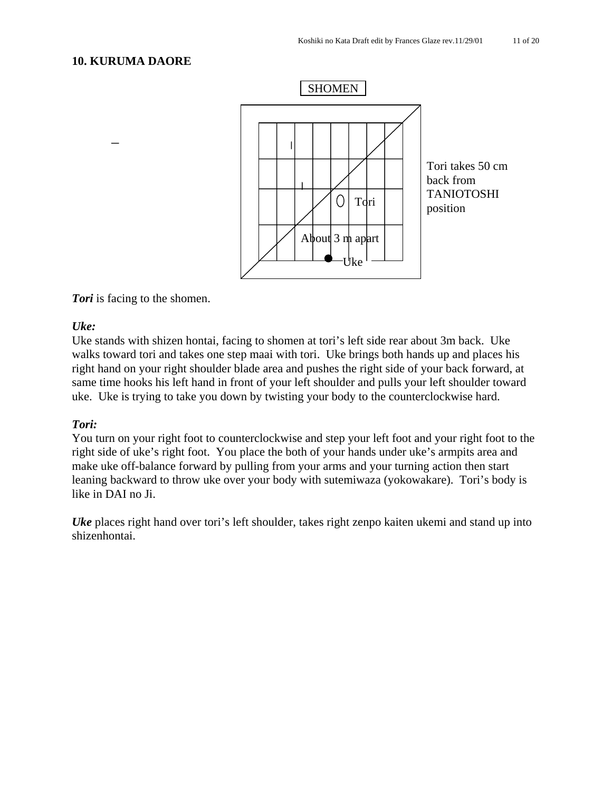#### **10. KURUMA DAORE**



#### *Tori* is facing to the shomen.

#### *Uke:*

Uke stands with shizen hontai, facing to shomen at tori's left side rear about 3m back. Uke walks toward tori and takes one step maai with tori. Uke brings both hands up and places his right hand on your right shoulder blade area and pushes the right side of your back forward, at same time hooks his left hand in front of your left shoulder and pulls your left shoulder toward uke. Uke is trying to take you down by twisting your body to the counterclockwise hard.

#### *Tori:*

You turn on your right foot to counterclockwise and step your left foot and your right foot to the right side of uke's right foot. You place the both of your hands under uke's armpits area and make uke off-balance forward by pulling from your arms and your turning action then start leaning backward to throw uke over your body with sutemiwaza (yokowakare). Tori's body is like in DAI no Ji.

*Uke* places right hand over tori's left shoulder, takes right zenpo kaiten ukemi and stand up into shizenhontai.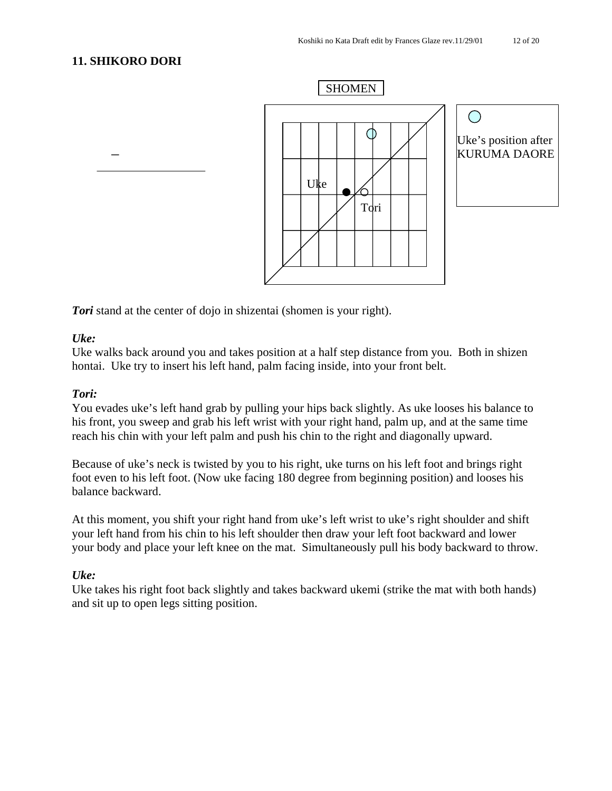# **11. SHIKORO DORI**



**Tori** stand at the center of dojo in shizentai (shomen is your right).

#### *Uke:*

Uke walks back around you and takes position at a half step distance from you. Both in shizen hontai. Uke try to insert his left hand, palm facing inside, into your front belt.

#### *Tori:*

You evades uke's left hand grab by pulling your hips back slightly. As uke looses his balance to his front, you sweep and grab his left wrist with your right hand, palm up, and at the same time reach his chin with your left palm and push his chin to the right and diagonally upward.

Because of uke's neck is twisted by you to his right, uke turns on his left foot and brings right foot even to his left foot. (Now uke facing 180 degree from beginning position) and looses his balance backward.

At this moment, you shift your right hand from uke's left wrist to uke's right shoulder and shift your left hand from his chin to his left shoulder then draw your left foot backward and lower your body and place your left knee on the mat. Simultaneously pull his body backward to throw.

#### *Uke:*

Uke takes his right foot back slightly and takes backward ukemi (strike the mat with both hands) and sit up to open legs sitting position.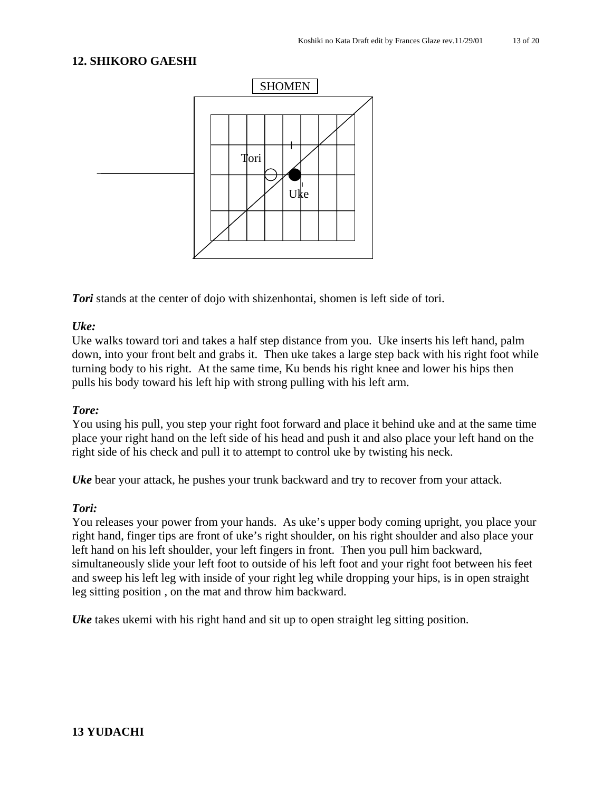#### **12. SHIKORO GAESHI**



*Tori* stands at the center of dojo with shizenhontai, shomen is left side of tori.

#### *Uke:*

Uke walks toward tori and takes a half step distance from you. Uke inserts his left hand, palm down, into your front belt and grabs it. Then uke takes a large step back with his right foot while turning body to his right. At the same time, Ku bends his right knee and lower his hips then pulls his body toward his left hip with strong pulling with his left arm.

#### *Tore:*

You using his pull, you step your right foot forward and place it behind uke and at the same time place your right hand on the left side of his head and push it and also place your left hand on the right side of his check and pull it to attempt to control uke by twisting his neck.

*Uke* bear your attack, he pushes your trunk backward and try to recover from your attack.

#### *Tori:*

You releases your power from your hands. As uke's upper body coming upright, you place your right hand, finger tips are front of uke's right shoulder, on his right shoulder and also place your left hand on his left shoulder, your left fingers in front. Then you pull him backward, simultaneously slide your left foot to outside of his left foot and your right foot between his feet and sweep his left leg with inside of your right leg while dropping your hips, is in open straight leg sitting position , on the mat and throw him backward.

*Uke* takes ukemi with his right hand and sit up to open straight leg sitting position.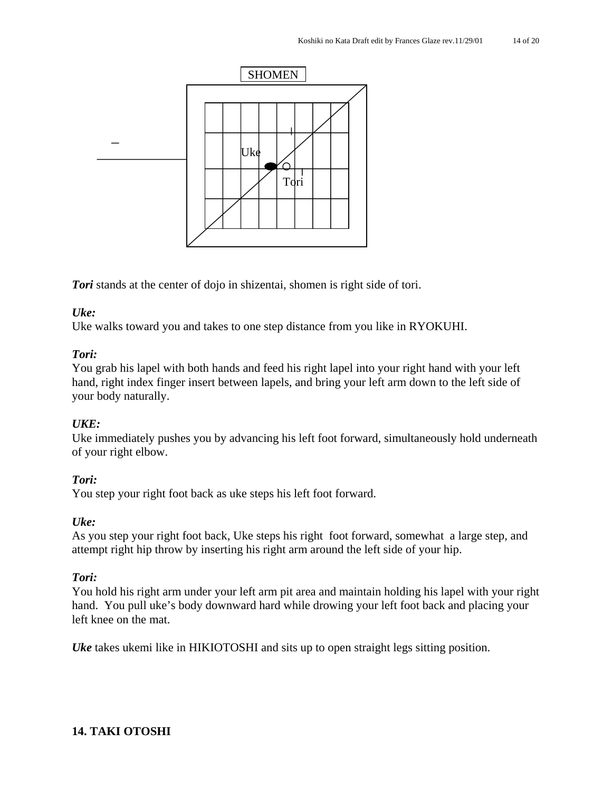

*Tori* stands at the center of dojo in shizentai, shomen is right side of tori.

# *Uke:*

Uke walks toward you and takes to one step distance from you like in RYOKUHI.

#### *Tori:*

You grab his lapel with both hands and feed his right lapel into your right hand with your left hand, right index finger insert between lapels, and bring your left arm down to the left side of your body naturally.

#### *UKE:*

Uke immediately pushes you by advancing his left foot forward, simultaneously hold underneath of your right elbow.

#### *Tori:*

You step your right foot back as uke steps his left foot forward.

#### *Uke:*

As you step your right foot back, Uke steps his right foot forward, somewhat a large step, and attempt right hip throw by inserting his right arm around the left side of your hip.

#### *Tori:*

You hold his right arm under your left arm pit area and maintain holding his lapel with your right hand. You pull uke's body downward hard while drowing your left foot back and placing your left knee on the mat.

*Uke* takes ukemi like in HIKIOTOSHI and sits up to open straight legs sitting position.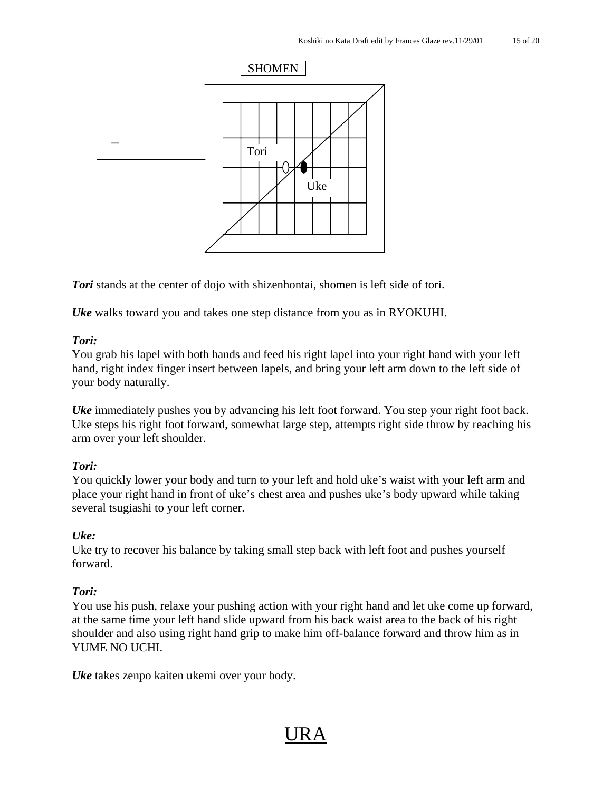

*Tori* stands at the center of dojo with shizenhontai, shomen is left side of tori.

*Uke* walks toward you and takes one step distance from you as in RYOKUHI.

#### *Tori:*

You grab his lapel with both hands and feed his right lapel into your right hand with your left hand, right index finger insert between lapels, and bring your left arm down to the left side of your body naturally.

*Uke* immediately pushes you by advancing his left foot forward. You step your right foot back. Uke steps his right foot forward, somewhat large step, attempts right side throw by reaching his arm over your left shoulder.

#### *Tori:*

You quickly lower your body and turn to your left and hold uke's waist with your left arm and place your right hand in front of uke's chest area and pushes uke's body upward while taking several tsugiashi to your left corner.

#### *Uke:*

Uke try to recover his balance by taking small step back with left foot and pushes yourself forward.

#### *Tori:*

You use his push, relaxe your pushing action with your right hand and let uke come up forward, at the same time your left hand slide upward from his back waist area to the back of his right shoulder and also using right hand grip to make him off-balance forward and throw him as in YUME NO UCHI.

*Uke* takes zenpo kaiten ukemi over your body.

# URA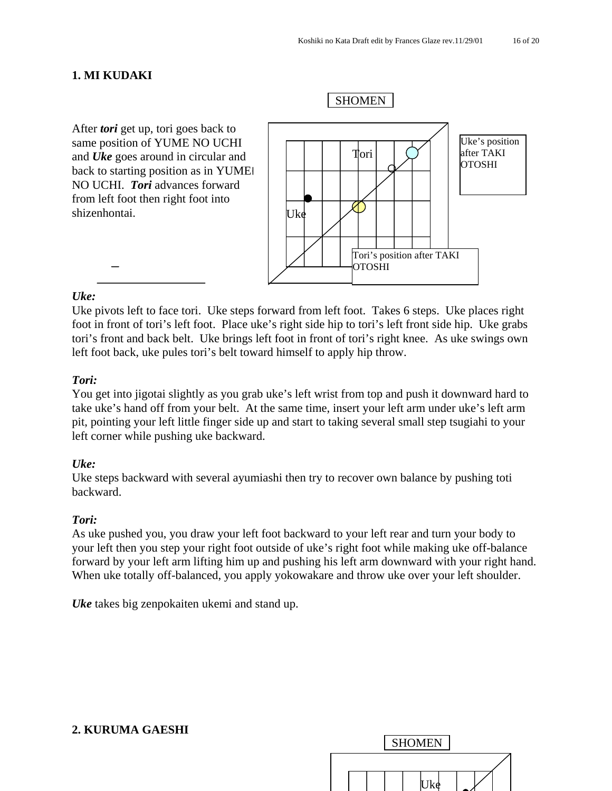#### **1. MI KUDAKI**

After *tori* get up, tori goes back to same position of YUME NO UCHI and *Uke* goes around in circular and back to starting position as in YUME NO UCHI. *Tori* advances forward from left foot then right foot into shizenhontai. Uke Tori Uke's position after TAKI **OTOSHI** Tori's position after TAKI **OTOSHI** SHOMEN

#### *Uke:*

Uke pivots left to face tori. Uke steps forward from left foot. Takes 6 steps. Uke places right foot in front of tori's left foot. Place uke's right side hip to tori's left front side hip. Uke grabs tori's front and back belt. Uke brings left foot in front of tori's right knee. As uke swings own left foot back, uke pules tori's belt toward himself to apply hip throw.

#### *Tori:*

You get into jigotai slightly as you grab uke's left wrist from top and push it downward hard to take uke's hand off from your belt. At the same time, insert your left arm under uke's left arm pit, pointing your left little finger side up and start to taking several small step tsugiahi to your left corner while pushing uke backward.

#### *Uke:*

Uke steps backward with several ayumiashi then try to recover own balance by pushing toti backward.

#### *Tori:*

As uke pushed you, you draw your left foot backward to your left rear and turn your body to your left then you step your right foot outside of uke's right foot while making uke off-balance forward by your left arm lifting him up and pushing his left arm downward with your right hand. When uke totally off-balanced, you apply yokowakare and throw uke over your left shoulder.

*Uke* takes big zenpokaiten ukemi and stand up.

# **2. KURUMA GAESHI**

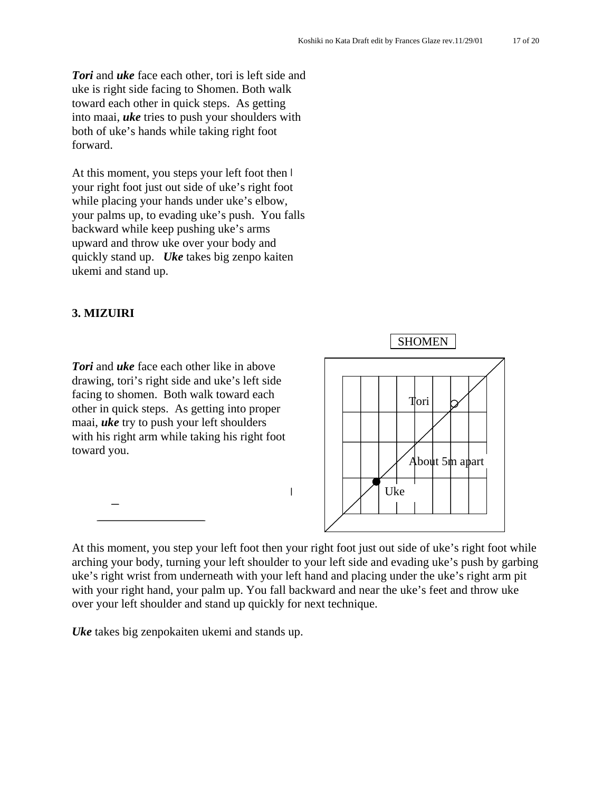*Tori* and *uke* face each other, tori is left side and uke is right side facing to Shomen. Both walk toward each other in quick steps. As getting into maai, *uke* tries to push your shoulders with both of uke's hands while taking right foot forward.

At this moment, you steps your left foot then  $\mathsf I$ your right foot just out side of uke's right foot while placing your hands under uke's elbow, your palms up, to evading uke's push. You falls backward while keep pushing uke's arms upward and throw uke over your body and quickly stand up. *Uke* takes big zenpo kaiten ukemi and stand up.

#### **3. MIZUIRI**

*Tori* and *uke* face each other like in above drawing, tori's right side and uke's left side facing to shomen. Both walk toward each other in quick steps. As getting into proper maai, *uke* try to push your left shoulders with his right arm while taking his right foot toward you.



At this moment, you step your left foot then your right foot just out side of uke's right foot while arching your body, turning your left shoulder to your left side and evading uke's push by garbing uke's right wrist from underneath with your left hand and placing under the uke's right arm pit with your right hand, your palm up. You fall backward and near the uke's feet and throw uke over your left shoulder and stand up quickly for next technique.

 $\overline{\phantom{a}}$ 

*Uke* takes big zenpokaiten ukemi and stands up.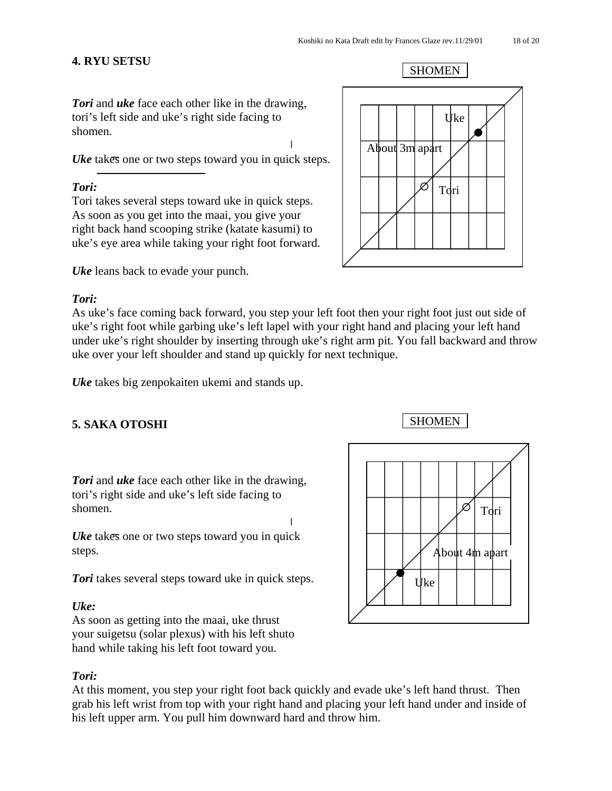# **4. RYU SETSU**

SHOMEN

*Tori* and *uke* face each other like in the drawing, tori's left side and uke's right side facing to shomen.

*Uke* takes one or two steps toward you in quick steps.

# *Tori:*

Tori takes several steps toward uke in quick steps. As soon as you get into the maai, you give your right back hand scooping strike (katate kasumi) to uke's eye area while taking your right foot forward.

*Uke* leans back to evade your punch.

# *Tori:*

As uke's face coming back forward, you step your left foot then your right foot just out side of uke's right foot while garbing uke's left lapel with your right hand and placing your left hand under uke's right shoulder by inserting through uke's right arm pit. You fall backward and throw uke over your left shoulder and stand up quickly for next technique.

*Uke* takes big zenpokaiten ukemi and stands up.

# **5. SAKA OTOSHI** SHOMEN

*Tori* and *uke* face each other like in the drawing, tori's right side and uke's left side facing to shomen.

*Uke* takes one or two steps toward you in quick steps.

**Tori** takes several steps toward uke in quick steps.

# *Uke:*

As soon as getting into the maai, uke thrust your suigetsu (solar plexus) with his left shuto hand while taking his left foot toward you.

# *Tori:*

At this moment, you step your right foot back quickly and evade uke's left hand thrust. Then grab his left wrist from top with your right hand and placing your left hand under and inside of his left upper arm. You pull him downward hard and throw him.



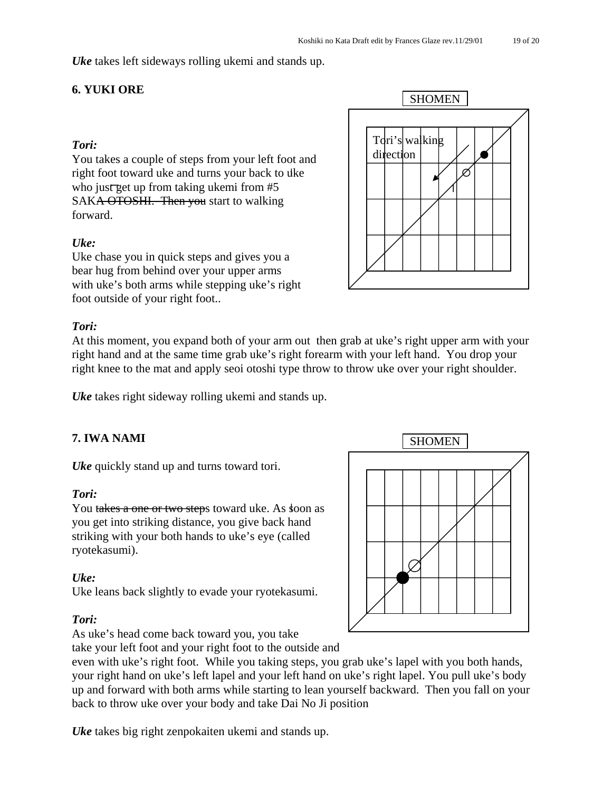*Uke* takes left sideways rolling ukemi and stands up.

# **6. YUKI ORE**

# *Tori:*

You takes a couple of steps from your left foot and right foot toward uke and turns your back to uke who just get up from taking ukemi from  $#5$ SAKA OTOSHI. Then you start to walking forward.

# *Uke:*

Uke chase you in quick steps and gives you a bear hug from behind over your upper arms with uke's both arms while stepping uke's right foot outside of your right foot..

# *Tori:*

At this moment, you expand both of your arm out then grab at uke's right upper arm with your right hand and at the same time grab uke's right forearm with your left hand. You drop your right knee to the mat and apply seoi otoshi type throw to throw uke over your right shoulder.

*Uke* takes right sideway rolling ukemi and stands up.

*Uke* quickly stand up and turns toward tori.

#### *Tori:*

You takes a one or two steps toward uke. As soon as you get into striking distance, you give back hand striking with your both hands to uke's eye (called ryotekasumi).

#### *Uke:*

Uke leans back slightly to evade your ryotekasumi.

#### *Tori:*

As uke's head come back toward you, you take

take your left foot and your right foot to the outside and

even with uke's right foot. While you taking steps, you grab uke's lapel with you both hands, your right hand on uke's left lapel and your left hand on uke's right lapel. You pull uke's body up and forward with both arms while starting to lean yourself backward. Then you fall on your back to throw uke over your body and take Dai No Ji position

*Uke* takes big right zenpokaiten ukemi and stands up.